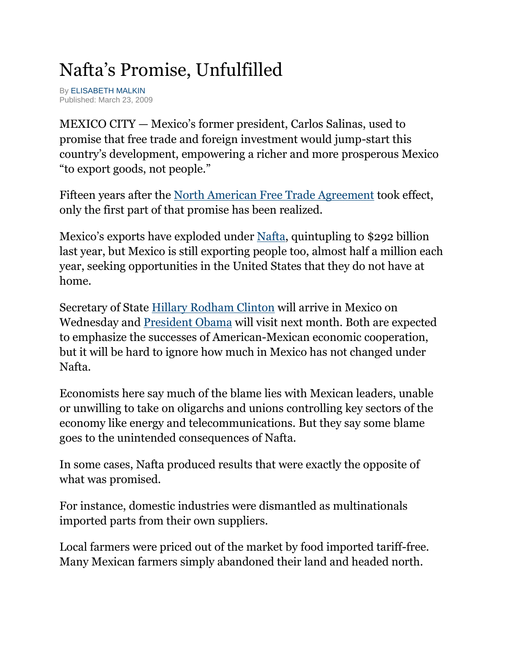## Nafta's Promise, Unfulfilled

B[y ELISABETH MALKIN](http://query.nytimes.com/search/query?ppds=bylL&v1=ELISABETH%20MALKIN&fdq=19960101&td=sysdate&sort=newest&ac=ELISABETH%20MALKIN&inline=nyt-per) Published: March 23, 2009

MEXICO CITY — Mexico's former president, Carlos Salinas, used to promise that free trade and foreign investment would jump-start this country's development, empowering a richer and more prosperous Mexico "to export goods, not people."

Fifteen years after the [North American Free Trade Agreement](http://topics.nytimes.com/top/reference/timestopics/subjects/n/north_american_free_trade_agreement/index.html?inline=nyt-org) took effect, only the first part of that promise has been realized.

Mexico's exports have exploded under [Nafta,](http://topics.nytimes.com/top/reference/timestopics/subjects/n/north_american_free_trade_agreement/index.html?inline=nyt-org) quintupling to \$292 billion last year, but Mexico is still exporting people too, almost half a million each year, seeking opportunities in the United States that they do not have at home.

Secretary of State [Hillary Rodham Clinton](http://topics.nytimes.com/top/reference/timestopics/people/c/hillary_rodham_clinton/index.html?inline=nyt-per) will arrive in Mexico on Wednesday and [President Obama](http://topics.nytimes.com/top/reference/timestopics/people/o/barack_obama/index.html?inline=nyt-per) will visit next month. Both are expected to emphasize the successes of American-Mexican economic cooperation, but it will be hard to ignore how much in Mexico has not changed under Nafta.

Economists here say much of the blame lies with Mexican leaders, unable or unwilling to take on oligarchs and unions controlling key sectors of the economy like energy and telecommunications. But they say some blame goes to the unintended consequences of Nafta.

In some cases, Nafta produced results that were exactly the opposite of what was promised.

For instance, domestic industries were dismantled as multinationals imported parts from their own suppliers.

Local farmers were priced out of the market by food imported tariff-free. Many Mexican farmers simply abandoned their land and headed north.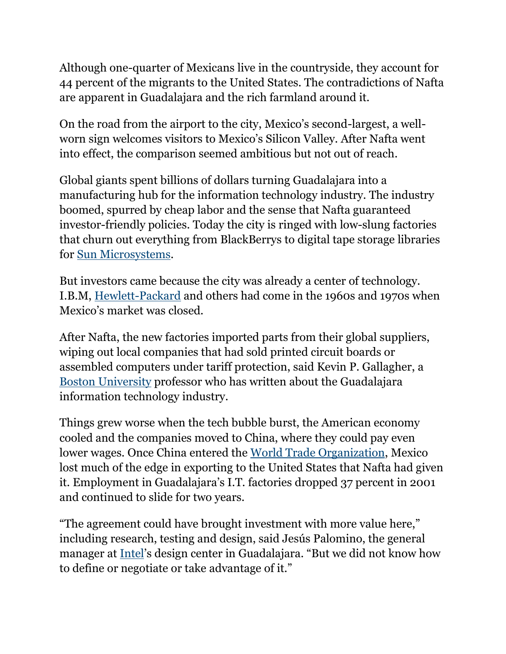Although one-quarter of Mexicans live in the countryside, they account for 44 percent of the migrants to the United States. The contradictions of Nafta are apparent in Guadalajara and the rich farmland around it.

On the road from the airport to the city, Mexico's second-largest, a wellworn sign welcomes visitors to Mexico's Silicon Valley. After Nafta went into effect, the comparison seemed ambitious but not out of reach.

Global giants spent billions of dollars turning Guadalajara into a manufacturing hub for the information technology industry. The industry boomed, spurred by cheap labor and the sense that Nafta guaranteed investor-friendly policies. Today the city is ringed with low-slung factories that churn out everything from BlackBerrys to digital tape storage libraries for [Sun Microsystems.](http://topics.nytimes.com/top/news/business/companies/sun_microsystems_inc/index.html?inline=nyt-org)

But investors came because the city was already a center of technology. I.B.M, [Hewlett-Packard](http://topics.nytimes.com/top/news/business/companies/hewlett_packard_corporation/index.html?inline=nyt-org) and others had come in the 1960s and 1970s when Mexico's market was closed.

After Nafta, the new factories imported parts from their global suppliers, wiping out local companies that had sold printed circuit boards or assembled computers under tariff protection, said Kevin P. Gallagher, a [Boston University](http://topics.nytimes.com/top/reference/timestopics/organizations/b/boston_university/index.html?inline=nyt-org) professor who has written about the Guadalajara information technology industry.

Things grew worse when the tech bubble burst, the American economy cooled and the companies moved to China, where they could pay even lower wages. Once China entered the [World Trade Organization,](http://topics.nytimes.com/top/reference/timestopics/organizations/w/world_trade_organization/index.html?inline=nyt-org) Mexico lost much of the edge in exporting to the United States that Nafta had given it. Employment in Guadalajara's I.T. factories dropped 37 percent in 2001 and continued to slide for two years.

"The agreement could have brought investment with more value here," including research, testing and design, said Jesús Palomino, the general manager at [Intel](http://topics.nytimes.com/top/news/business/companies/intel_corporation/index.html?inline=nyt-org)'s design center in Guadalajara. "But we did not know how to define or negotiate or take advantage of it."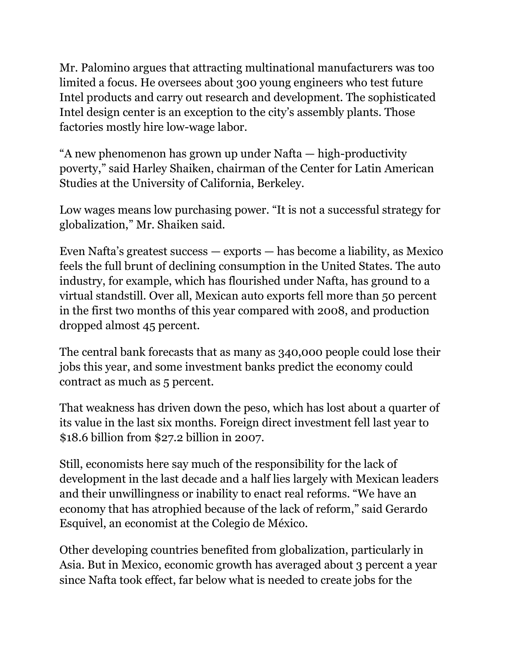Mr. Palomino argues that attracting multinational manufacturers was too limited a focus. He oversees about 300 young engineers who test future Intel products and carry out research and development. The sophisticated Intel design center is an exception to the city's assembly plants. Those factories mostly hire low-wage labor.

"A new phenomenon has grown up under Nafta — high-productivity poverty," said Harley Shaiken, chairman of the Center for Latin American Studies at the University of California, Berkeley.

Low wages means low purchasing power. "It is not a successful strategy for globalization," Mr. Shaiken said.

Even Nafta's greatest success — exports — has become a liability, as Mexico feels the full brunt of declining consumption in the United States. The auto industry, for example, which has flourished under Nafta, has ground to a virtual standstill. Over all, Mexican auto exports fell more than 50 percent in the first two months of this year compared with 2008, and production dropped almost 45 percent.

The central bank forecasts that as many as 340,000 people could lose their jobs this year, and some investment banks predict the economy could contract as much as 5 percent.

That weakness has driven down the peso, which has lost about a quarter of its value in the last six months. Foreign direct investment fell last year to \$18.6 billion from \$27.2 billion in 2007.

Still, economists here say much of the responsibility for the lack of development in the last decade and a half lies largely with Mexican leaders and their unwillingness or inability to enact real reforms. "We have an economy that has atrophied because of the lack of reform," said Gerardo Esquivel, an economist at the Colegio de México.

Other developing countries benefited from globalization, particularly in Asia. But in Mexico, economic growth has averaged about 3 percent a year since Nafta took effect, far below what is needed to create jobs for the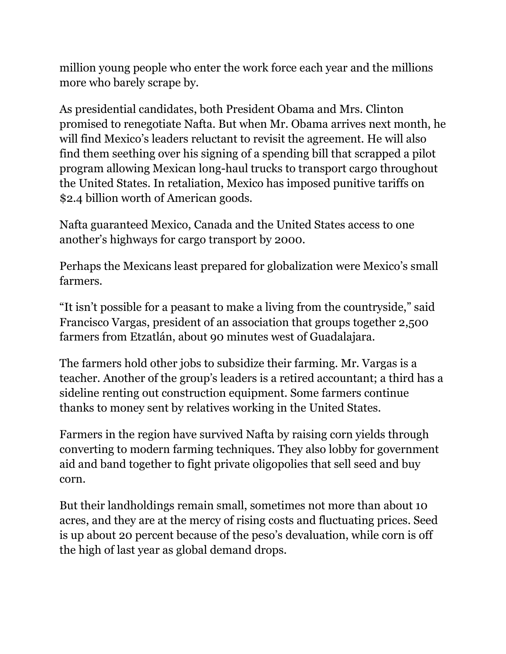million young people who enter the work force each year and the millions more who barely scrape by.

As presidential candidates, both President Obama and Mrs. Clinton promised to renegotiate Nafta. But when Mr. Obama arrives next month, he will find Mexico's leaders reluctant to revisit the agreement. He will also find them seething over his signing of a spending bill that scrapped a pilot program allowing Mexican long-haul trucks to transport cargo throughout the United States. In retaliation, Mexico has imposed punitive tariffs on \$2.4 billion worth of American goods.

Nafta guaranteed Mexico, Canada and the United States access to one another's highways for cargo transport by 2000.

Perhaps the Mexicans least prepared for globalization were Mexico's small farmers.

"It isn't possible for a peasant to make a living from the countryside," said Francisco Vargas, president of an association that groups together 2,500 farmers from Etzatlán, about 90 minutes west of Guadalajara.

The farmers hold other jobs to subsidize their farming. Mr. Vargas is a teacher. Another of the group's leaders is a retired accountant; a third has a sideline renting out construction equipment. Some farmers continue thanks to money sent by relatives working in the United States.

Farmers in the region have survived Nafta by raising corn yields through converting to modern farming techniques. They also lobby for government aid and band together to fight private oligopolies that sell seed and buy corn.

But their landholdings remain small, sometimes not more than about 10 acres, and they are at the mercy of rising costs and fluctuating prices. Seed is up about 20 percent because of the peso's devaluation, while corn is off the high of last year as global demand drops.